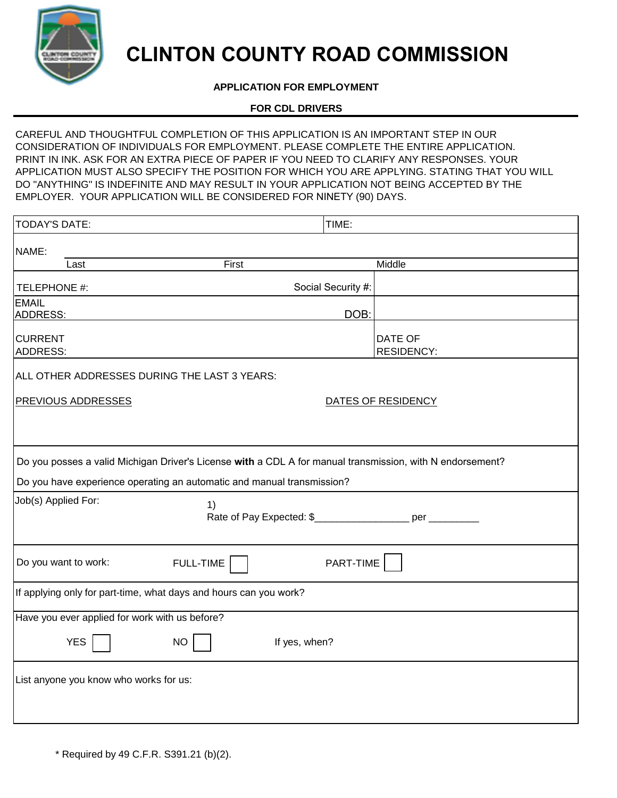

# **CLINTON COUNTY ROAD COMMISSION**

# **APPLICATION FOR EMPLOYMENT**

## **FOR CDL DRIVERS**

CAREFUL AND THOUGHTFUL COMPLETION OF THIS APPLICATION IS AN IMPORTANT STEP IN OUR CONSIDERATION OF INDIVIDUALS FOR EMPLOYMENT. PLEASE COMPLETE THE ENTIRE APPLICATION. PRINT IN INK. ASK FOR AN EXTRA PIECE OF PAPER IF YOU NEED TO CLARIFY ANY RESPONSES. YOUR APPLICATION MUST ALSO SPECIFY THE POSITION FOR WHICH YOU ARE APPLYING. STATING THAT YOU WILL DO "ANYTHING" IS INDEFINITE AND MAY RESULT IN YOUR APPLICATION NOT BEING ACCEPTED BY THE EMPLOYER. YOUR APPLICATION WILL BE CONSIDERED FOR NINETY (90) DAYS.

| <b>TODAY'S DATE:</b>                                                                                                                                                                | TIME:              |                              |  |
|-------------------------------------------------------------------------------------------------------------------------------------------------------------------------------------|--------------------|------------------------------|--|
| NAME:                                                                                                                                                                               |                    |                              |  |
| First<br>Last                                                                                                                                                                       |                    | Middle                       |  |
| TELEPHONE #:                                                                                                                                                                        | Social Security #: |                              |  |
| <b>EMAIL</b><br><b>ADDRESS:</b>                                                                                                                                                     | DOB:               |                              |  |
| <b>CURRENT</b><br>ADDRESS:                                                                                                                                                          |                    | DATE OF<br><b>RESIDENCY:</b> |  |
| ALL OTHER ADDRESSES DURING THE LAST 3 YEARS:                                                                                                                                        |                    |                              |  |
| <b>PREVIOUS ADDRESSES</b>                                                                                                                                                           | DATES OF RESIDENCY |                              |  |
| Do you posses a valid Michigan Driver's License with a CDL A for manual transmission, with N endorsement?<br>Do you have experience operating an automatic and manual transmission? |                    |                              |  |
| Job(s) Applied For:<br>1)<br>Rate of Pay Expected: \$_____________________ per __________                                                                                           |                    |                              |  |
| Do you want to work:<br><b>FULL-TIME</b>                                                                                                                                            | PART-TIME          |                              |  |
| If applying only for part-time, what days and hours can you work?                                                                                                                   |                    |                              |  |
| Have you ever applied for work with us before?                                                                                                                                      |                    |                              |  |
| <b>YES</b><br><b>NO</b><br>If yes, when?                                                                                                                                            |                    |                              |  |
| List anyone you know who works for us:                                                                                                                                              |                    |                              |  |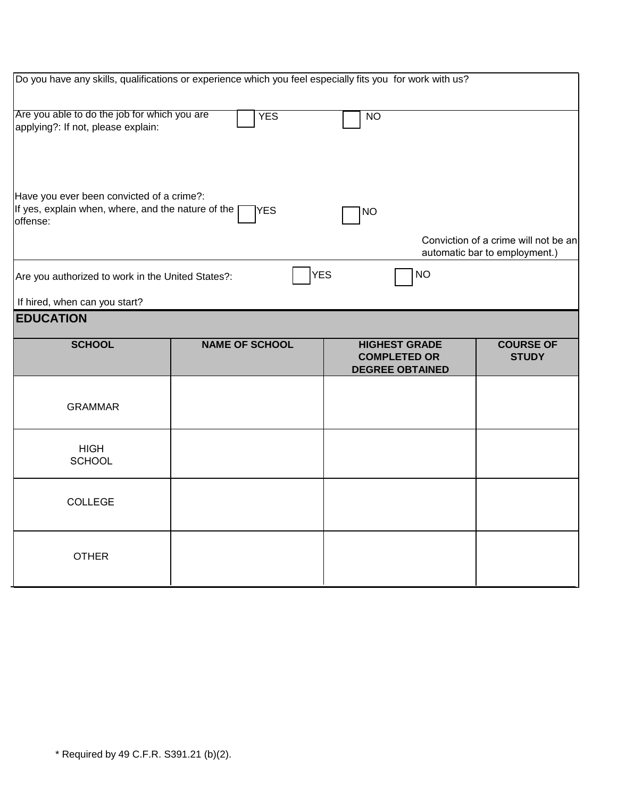| Do you have any skills, qualifications or experience which you feel especially fits you for work with us?   |                       |                                                                       |                                                                       |  |
|-------------------------------------------------------------------------------------------------------------|-----------------------|-----------------------------------------------------------------------|-----------------------------------------------------------------------|--|
| Are you able to do the job for which you are<br>applying?: If not, please explain:                          | <b>YES</b>            | <b>NO</b>                                                             |                                                                       |  |
| Have you ever been convicted of a crime?:<br>If yes, explain when, where, and the nature of the<br>offense: | <b>YES</b>            | <b>NO</b>                                                             |                                                                       |  |
|                                                                                                             |                       |                                                                       | Conviction of a crime will not be an<br>automatic bar to employment.) |  |
| Are you authorized to work in the United States?:                                                           | <b>YES</b>            | <b>NO</b>                                                             |                                                                       |  |
| If hired, when can you start?                                                                               |                       |                                                                       |                                                                       |  |
| <b>EDUCATION</b>                                                                                            |                       |                                                                       |                                                                       |  |
| <b>SCHOOL</b>                                                                                               | <b>NAME OF SCHOOL</b> | <b>HIGHEST GRADE</b><br><b>COMPLETED OR</b><br><b>DEGREE OBTAINED</b> | <b>COURSE OF</b><br><b>STUDY</b>                                      |  |
| <b>GRAMMAR</b>                                                                                              |                       |                                                                       |                                                                       |  |
| <b>HIGH</b><br><b>SCHOOL</b>                                                                                |                       |                                                                       |                                                                       |  |
| <b>COLLEGE</b>                                                                                              |                       |                                                                       |                                                                       |  |
| <b>OTHER</b>                                                                                                |                       |                                                                       |                                                                       |  |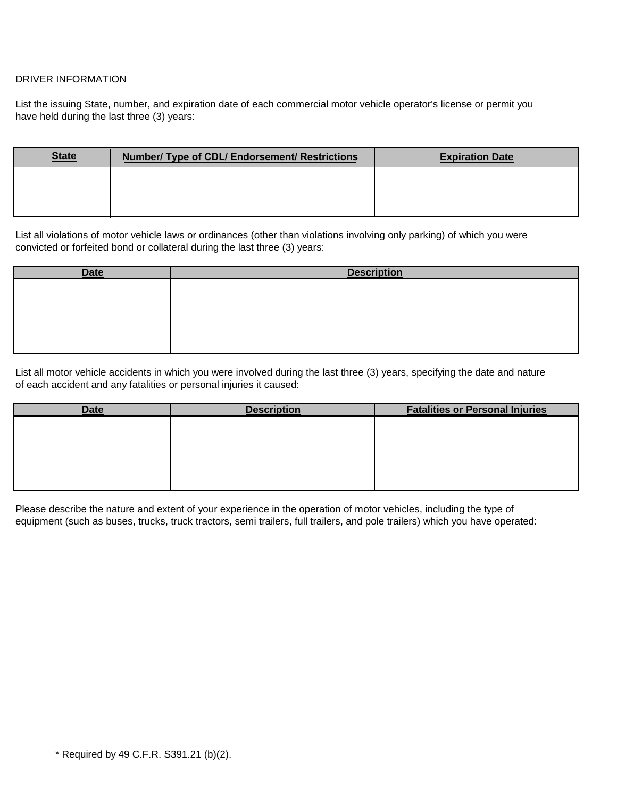### DRIVER INFORMATION

List the issuing State, number, and expiration date of each commercial motor vehicle operator's license or permit you have held during the last three (3) years:

| <b>State</b> | Number/ Type of CDL/ Endorsement/ Restrictions | <b>Expiration Date</b> |
|--------------|------------------------------------------------|------------------------|
|              |                                                |                        |
|              |                                                |                        |

List all violations of motor vehicle laws or ordinances (other than violations involving only parking) of which you were convicted or forfeited bond or collateral during the last three (3) years:

| <b>Date</b> | <b>Description</b> |
|-------------|--------------------|
|             |                    |
|             |                    |
|             |                    |
|             |                    |
|             |                    |

List all motor vehicle accidents in which you were involved during the last three (3) years, specifying the date and nature of each accident and any fatalities or personal injuries it caused:

| <b>Date</b> | <b>Description</b> | <b>Fatalities or Personal Injuries</b> |
|-------------|--------------------|----------------------------------------|
|             |                    |                                        |
|             |                    |                                        |
|             |                    |                                        |
|             |                    |                                        |
|             |                    |                                        |
|             |                    |                                        |

Please describe the nature and extent of your experience in the operation of motor vehicles, including the type of equipment (such as buses, trucks, truck tractors, semi trailers, full trailers, and pole trailers) which you have operated: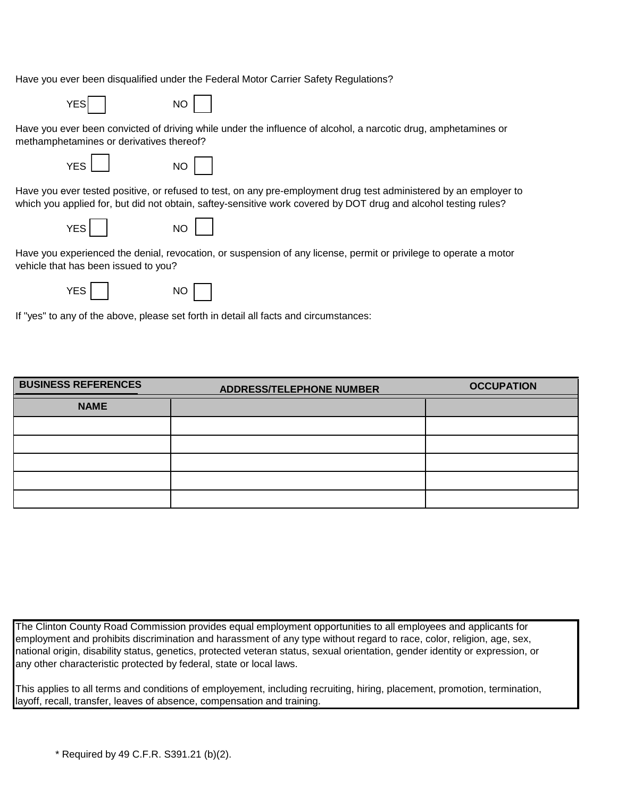Have you ever been disqualified under the Federal Motor Carrier Safety Regulations?



Have you ever been convicted of driving while under the influence of alcohol, a narcotic drug, amphetamines or methamphetamines or derivatives thereof?

YES NO



Have you ever tested positive, or refused to test, on any pre-employment drug test administered by an employer to which you applied for, but did not obtain, saftey-sensitive work covered by DOT drug and alcohol testing rules?

| YES |  |  | <b>NO</b> |
|-----|--|--|-----------|
|-----|--|--|-----------|



Have you experienced the denial, revocation, or suspension of any license, permit or privilege to operate a motor vehicle that has been issued to you?

| YES. |  | NC |
|------|--|----|
|      |  |    |

| ×      |  |
|--------|--|
|        |  |
|        |  |
|        |  |
| ٦      |  |
| ٠<br>v |  |
|        |  |
|        |  |

If "yes" to any of the above, please set forth in detail all facts and circumstances:

| <b>BUSINESS REFERENCES</b> | <b>ADDRESS/TELEPHONE NUMBER</b> | <b>OCCUPATION</b> |
|----------------------------|---------------------------------|-------------------|
| <b>NAME</b>                |                                 |                   |
|                            |                                 |                   |
|                            |                                 |                   |
|                            |                                 |                   |
|                            |                                 |                   |
|                            |                                 |                   |

The Clinton County Road Commission provides equal employment opportunities to all employees and applicants for employment and prohibits discrimination and harassment of any type without regard to race, color, religion, age, sex, national origin, disability status, genetics, protected veteran status, sexual orientation, gender identity or expression, or any other characteristic protected by federal, state or local laws.

This applies to all terms and conditions of employement, including recruiting, hiring, placement, promotion, termination, layoff, recall, transfer, leaves of absence, compensation and training.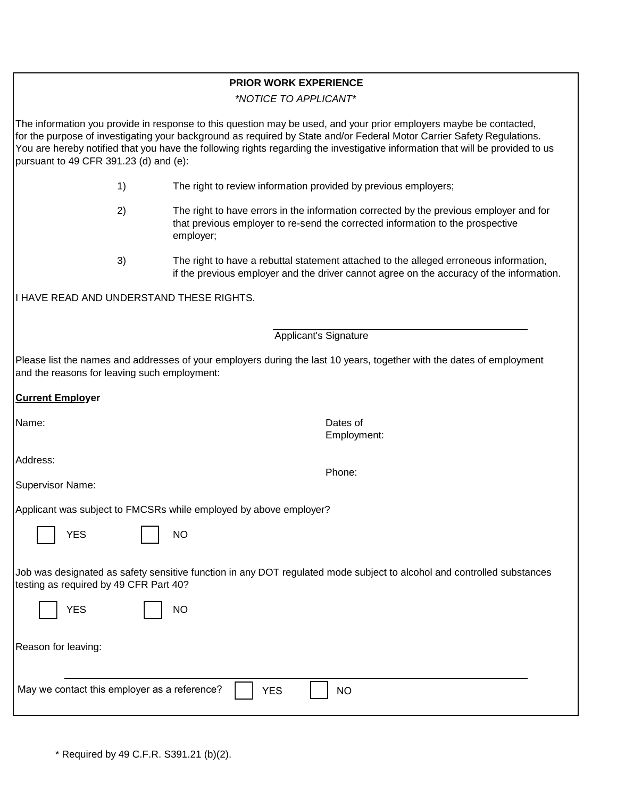# **PRIOR WORK EXPERIENCE**

*\*NOTICE TO APPLICANT\**

The information you provide in response to this question may be used, and your prior employers maybe be contacted, for the purpose of investigating your background as required by State and/or Federal Motor Carrier Safety Regulations. You are hereby notified that you have the following rights regarding the investigative information that will be provided to us pursuant to 49 CFR 391.23 (d) and (e):

- 1) The right to review information provided by previous employers;
- 2) The right to have errors in the information corrected by the previous employer and for that previous employer to re-send the corrected information to the prospective employer;
- 3) The right to have a rebuttal statement attached to the alleged erroneous information, if the previous employer and the driver cannot agree on the accuracy of the information.

Employment:

Phone:

I HAVE READ AND UNDERSTAND THESE RIGHTS.

Applicant's Signature

Please list the names and addresses of your employers during the last 10 years, together with the dates of employment and the reasons for leaving such employment:

#### **Current Employer**

Name: **Name:** Dates of

Address:

Supervisor Name:

Applicant was subject to FMCSRs while employed by above employer?

NO

Job was designated as safety sensitive function in any DOT regulated mode subject to alcohol and controlled substances testing as required by 49 CFR Part 40?

| <b>YES</b>          |  |
|---------------------|--|
| Reason for leaving: |  |

|--|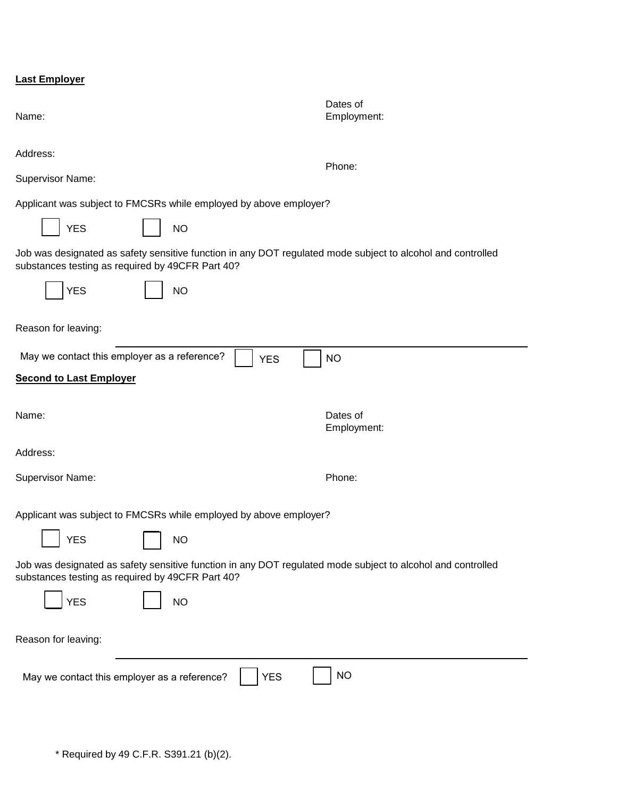|  | <b>Last Employer</b> |
|--|----------------------|
|  |                      |

| Name:                                                                                                                                                           | Dates of<br>Employment: |  |  |
|-----------------------------------------------------------------------------------------------------------------------------------------------------------------|-------------------------|--|--|
| Address:<br><b>Supervisor Name:</b>                                                                                                                             | Phone:                  |  |  |
| Applicant was subject to FMCSRs while employed by above employer?                                                                                               |                         |  |  |
| <b>YES</b><br><b>NO</b>                                                                                                                                         |                         |  |  |
| Job was designated as safety sensitive function in any DOT regulated mode subject to alcohol and controlled<br>substances testing as required by 49CFR Part 40? |                         |  |  |
| <b>YES</b><br><b>NO</b>                                                                                                                                         |                         |  |  |
| Reason for leaving:                                                                                                                                             |                         |  |  |
| May we contact this employer as a reference?<br><b>YES</b>                                                                                                      | <b>NO</b>               |  |  |
| <b>Second to Last Employer</b>                                                                                                                                  |                         |  |  |
|                                                                                                                                                                 |                         |  |  |
| Name:                                                                                                                                                           | Dates of<br>Employment: |  |  |
| Address:                                                                                                                                                        |                         |  |  |
| Supervisor Name:                                                                                                                                                | Phone:                  |  |  |
| Applicant was subject to FMCSRs while employed by above employer?                                                                                               |                         |  |  |
| <b>YES</b><br><b>NO</b>                                                                                                                                         |                         |  |  |
| Job was designated as safety sensitive function in any DOT regulated mode subject to alcohol and controlled<br>substances testing as required by 49CFR Part 40? |                         |  |  |
| <b>YES</b><br><b>NO</b>                                                                                                                                         |                         |  |  |
| Reason for leaving:                                                                                                                                             |                         |  |  |
| <b>NO</b><br><b>YES</b><br>May we contact this employer as a reference?                                                                                         |                         |  |  |
|                                                                                                                                                                 |                         |  |  |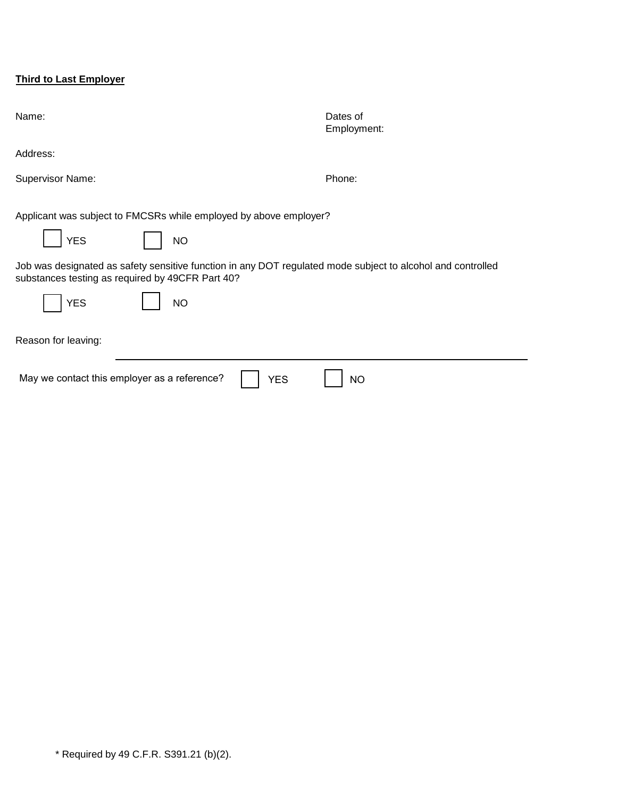# **Third to Last Employer**

| Name:                                                                                                                                                                                      | Dates of<br>Employment: |
|--------------------------------------------------------------------------------------------------------------------------------------------------------------------------------------------|-------------------------|
| Address:                                                                                                                                                                                   |                         |
| <b>Supervisor Name:</b>                                                                                                                                                                    | Phone:                  |
| Applicant was subject to FMCSRs while employed by above employer?<br><b>YES</b><br><b>NO</b>                                                                                               |                         |
| Job was designated as safety sensitive function in any DOT regulated mode subject to alcohol and controlled<br>substances testing as required by 49CFR Part 40?<br><b>YES</b><br><b>NO</b> |                         |
| Reason for leaving:                                                                                                                                                                        |                         |
| May we contact this employer as a reference?<br><b>YES</b>                                                                                                                                 | <b>NO</b>               |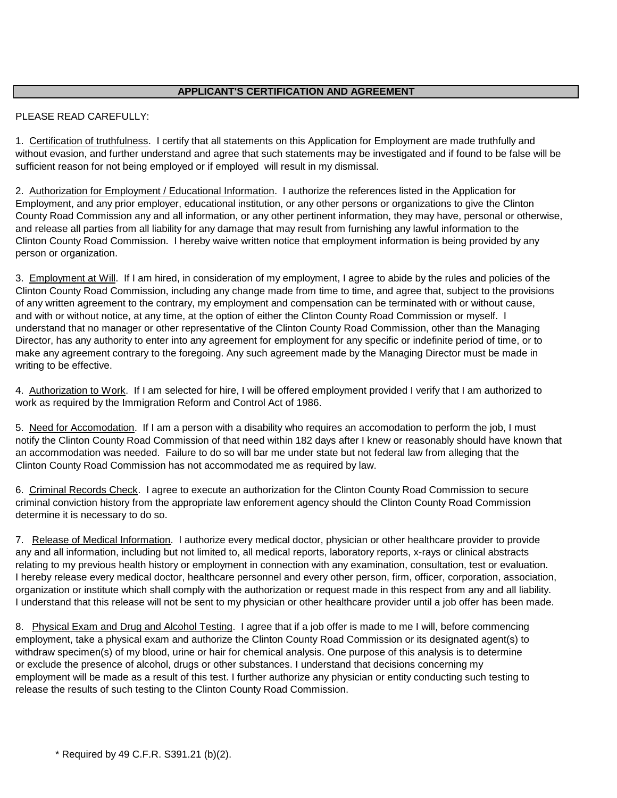#### **APPLICANT'S CERTIFICATION AND AGREEMENT**

### PLEASE READ CAREFULLY:

1. Certification of truthfulness. I certify that all statements on this Application for Employment are made truthfully and without evasion, and further understand and agree that such statements may be investigated and if found to be false will be sufficient reason for not being employed or if employed will result in my dismissal.

2. Authorization for Employment / Educational Information. I authorize the references listed in the Application for Employment, and any prior employer, educational institution, or any other persons or organizations to give the Clinton County Road Commission any and all information, or any other pertinent information, they may have, personal or otherwise, and release all parties from all liability for any damage that may result from furnishing any lawful information to the Clinton County Road Commission. I hereby waive written notice that employment information is being provided by any person or organization.

3. Employment at Will. If I am hired, in consideration of my employment, I agree to abide by the rules and policies of the Clinton County Road Commission, including any change made from time to time, and agree that, subject to the provisions of any written agreement to the contrary, my employment and compensation can be terminated with or without cause, and with or without notice, at any time, at the option of either the Clinton County Road Commission or myself. I understand that no manager or other representative of the Clinton County Road Commission, other than the Managing Director, has any authority to enter into any agreement for employment for any specific or indefinite period of time, or to make any agreement contrary to the foregoing. Any such agreement made by the Managing Director must be made in writing to be effective.

4. Authorization to Work. If I am selected for hire, I will be offered employment provided I verify that I am authorized to work as required by the Immigration Reform and Control Act of 1986.

5. Need for Accomodation. If I am a person with a disability who requires an accomodation to perform the job, I must notify the Clinton County Road Commission of that need within 182 days after I knew or reasonably should have known that an accommodation was needed. Failure to do so will bar me under state but not federal law from alleging that the Clinton County Road Commission has not accommodated me as required by law.

6. Criminal Records Check. I agree to execute an authorization for the Clinton County Road Commission to secure criminal conviction history from the appropriate law enforement agency should the Clinton County Road Commission determine it is necessary to do so.

7. Release of Medical Information. I authorize every medical doctor, physician or other healthcare provider to provide any and all information, including but not limited to, all medical reports, laboratory reports, x-rays or clinical abstracts relating to my previous health history or employment in connection with any examination, consultation, test or evaluation. I hereby release every medical doctor, healthcare personnel and every other person, firm, officer, corporation, association, organization or institute which shall comply with the authorization or request made in this respect from any and all liability. I understand that this release will not be sent to my physician or other healthcare provider until a job offer has been made.

8. Physical Exam and Drug and Alcohol Testing. I agree that if a job offer is made to me I will, before commencing employment, take a physical exam and authorize the Clinton County Road Commission or its designated agent(s) to withdraw specimen(s) of my blood, urine or hair for chemical analysis. One purpose of this analysis is to determine or exclude the presence of alcohol, drugs or other substances. I understand that decisions concerning my employment will be made as a result of this test. I further authorize any physician or entity conducting such testing to release the results of such testing to the Clinton County Road Commission.